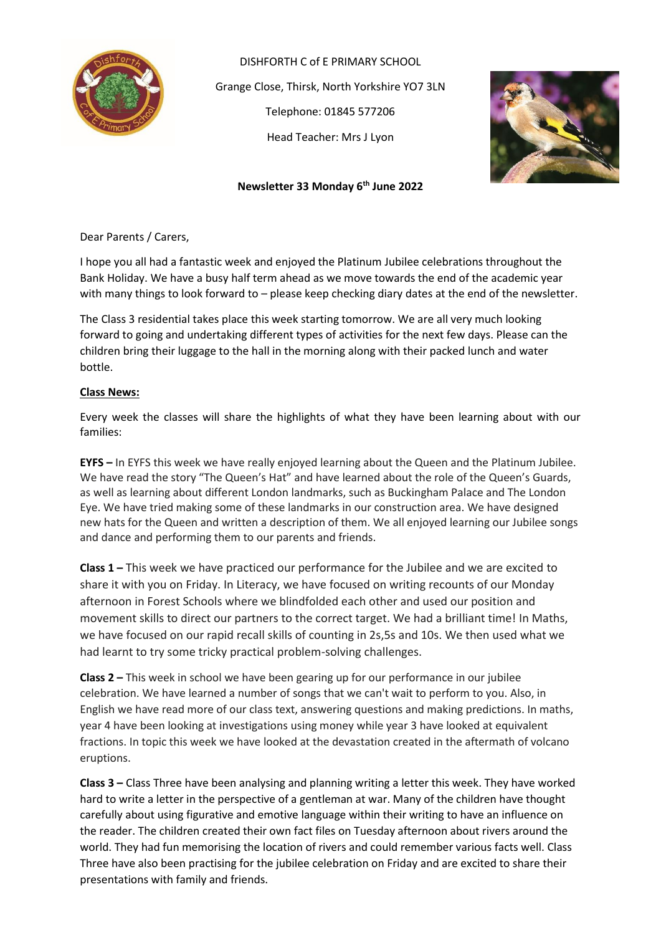

DISHFORTH C of E PRIMARY SCHOOL Grange Close, Thirsk, North Yorkshire YO7 3LN Telephone: 01845 577206 Head Teacher: Mrs J Lyon



# **Newsletter 33 Monday 6 th June 2022**

Dear Parents / Carers,

I hope you all had a fantastic week and enjoyed the Platinum Jubilee celebrations throughout the Bank Holiday. We have a busy half term ahead as we move towards the end of the academic year with many things to look forward to – please keep checking diary dates at the end of the newsletter.

The Class 3 residential takes place this week starting tomorrow. We are all very much looking forward to going and undertaking different types of activities for the next few days. Please can the children bring their luggage to the hall in the morning along with their packed lunch and water bottle.

## **Class News:**

Every week the classes will share the highlights of what they have been learning about with our families:

**EYFS –** In EYFS this week we have really enjoyed learning about the Queen and the Platinum Jubilee. We have read the story "The Queen's Hat" and have learned about the role of the Queen's Guards, as well as learning about different London landmarks, such as Buckingham Palace and The London Eye. We have tried making some of these landmarks in our construction area. We have designed new hats for the Queen and written a description of them. We all enjoyed learning our Jubilee songs and dance and performing them to our parents and friends.

**Class 1 –** This week we have practiced our performance for the Jubilee and we are excited to share it with you on Friday. In Literacy, we have focused on writing recounts of our Monday afternoon in Forest Schools where we blindfolded each other and used our position and movement skills to direct our partners to the correct target. We had a brilliant time! In Maths, we have focused on our rapid recall skills of counting in 2s,5s and 10s. We then used what we had learnt to try some tricky practical problem-solving challenges.

**Class 2 –** This week in school we have been gearing up for our performance in our jubilee celebration. We have learned a number of songs that we can't wait to perform to you. Also, in English we have read more of our class text, answering questions and making predictions. In maths, year 4 have been looking at investigations using money while year 3 have looked at equivalent fractions. In topic this week we have looked at the devastation created in the aftermath of volcano eruptions.

**Class 3 –** Class Three have been analysing and planning writing a letter this week. They have worked hard to write a letter in the perspective of a gentleman at war. Many of the children have thought carefully about using figurative and emotive language within their writing to have an influence on the reader. The children created their own fact files on Tuesday afternoon about rivers around the world. They had fun memorising the location of rivers and could remember various facts well. Class Three have also been practising for the jubilee celebration on Friday and are excited to share their presentations with family and friends.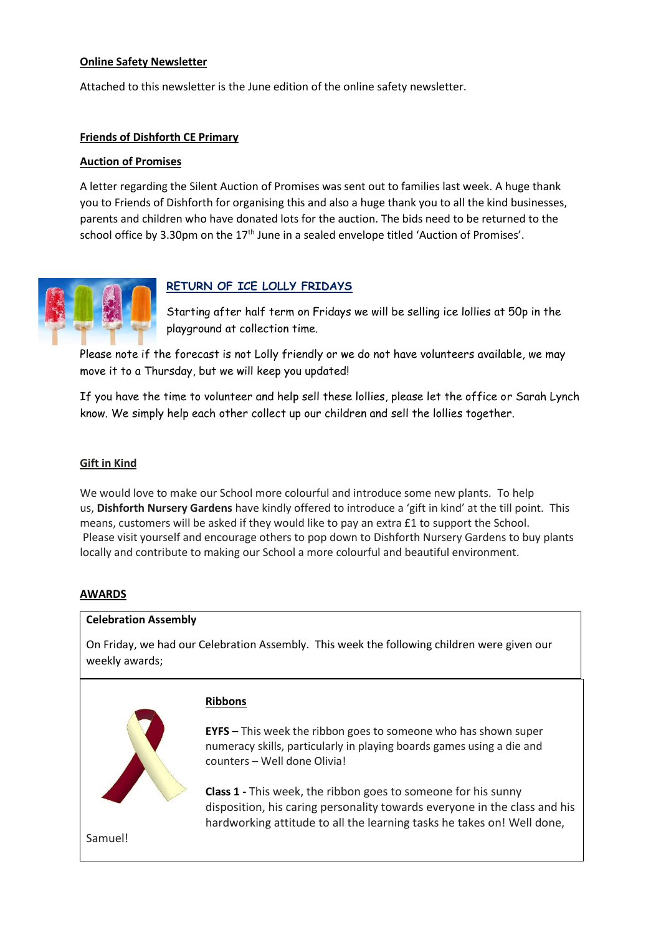## **Online Safety Newsletter**

Attached to this newsletter is the June edition of the online safety newsletter.

## **Friends of Dishforth CE Primary**

### **Auction of Promises**

A letter regarding the Silent Auction of Promises was sent out to families last week. A huge thank you to Friends of Dishforth for organising this and also a huge thank you to all the kind businesses, parents and children who have donated lots for the auction. The bids need to be returned to the school office by 3.30pm on the 17<sup>th</sup> June in a sealed envelope titled 'Auction of Promises'.



## **RETURN OF ICE LOLLY FRIDAYS**

Starting after half term on Fridays we will be selling ice lollies at 50p in the playground at collection time.

Please note if the forecast is not Lolly friendly or we do not have volunteers available, we may move it to a Thursday, but we will keep you updated!

If you have the time to volunteer and help sell these lollies, please let the office or Sarah Lynch know. We simply help each other collect up our children and sell the lollies together.

#### **Gift in Kind**

We would love to make our School more colourful and introduce some new plants. To help us, **Dishforth Nursery Gardens** have kindly offered to introduce a 'gift in kind' at the till point. This means, customers will be asked if they would like to pay an extra £1 to support the School. Please visit yourself and encourage others to pop down to Dishforth Nursery Gardens to buy plants locally and contribute to making our School a more colourful and beautiful environment.

### **AWARDS**

#### **Celebration Assembly**

On Friday, we had our Celebration Assembly. This week the following children were given our weekly awards;



#### **Ribbons**

**EYFS** – This week the ribbon goes to someone who has shown super numeracy skills, particularly in playing boards games using a die and counters – Well done Olivia!

**Class 1 -** This week, the ribbon goes to someone for his sunny disposition, his caring personality towards everyone in the class and his hardworking attitude to all the learning tasks he takes on! Well done,

Samuel!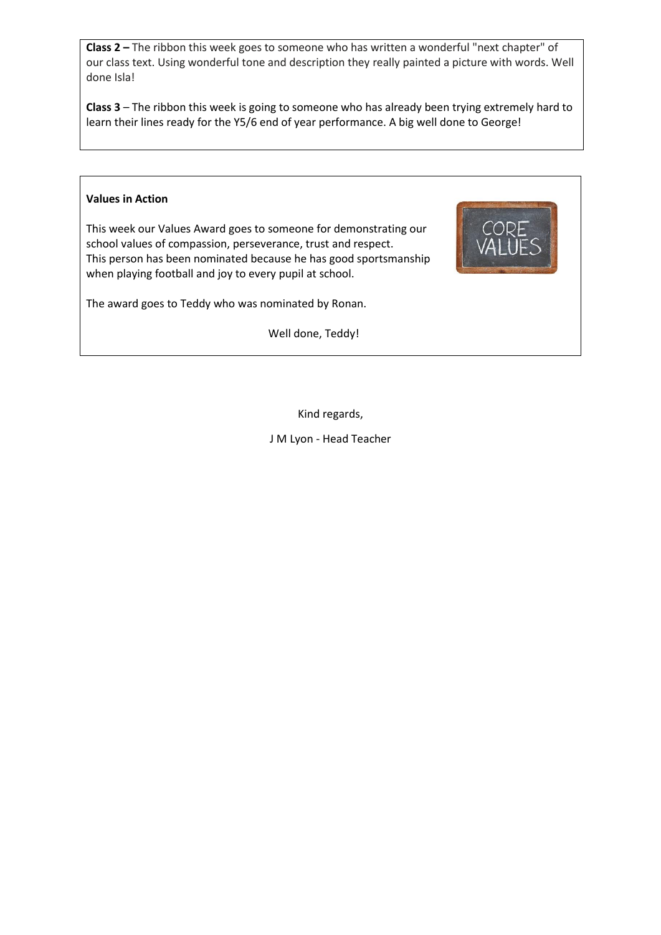**Class 2 –** The ribbon this week goes to someone who has written a wonderful "next chapter" of our class text. Using wonderful tone and description they really painted a picture with words. Well done Isla!

**Class 3** – The ribbon this week is going to someone who has already been trying extremely hard to learn their lines ready for the Y5/6 end of year performance. A big well done to George!

## **Values in Action**

This week our Values Award goes to someone for demonstrating our school values of compassion, perseverance, trust and respect. This person has been nominated because he has good sportsmanship when playing football and joy to every pupil at school.



The award goes to Teddy who was nominated by Ronan.

Well done, Teddy!

Kind regards,

J M Lyon - Head Teacher